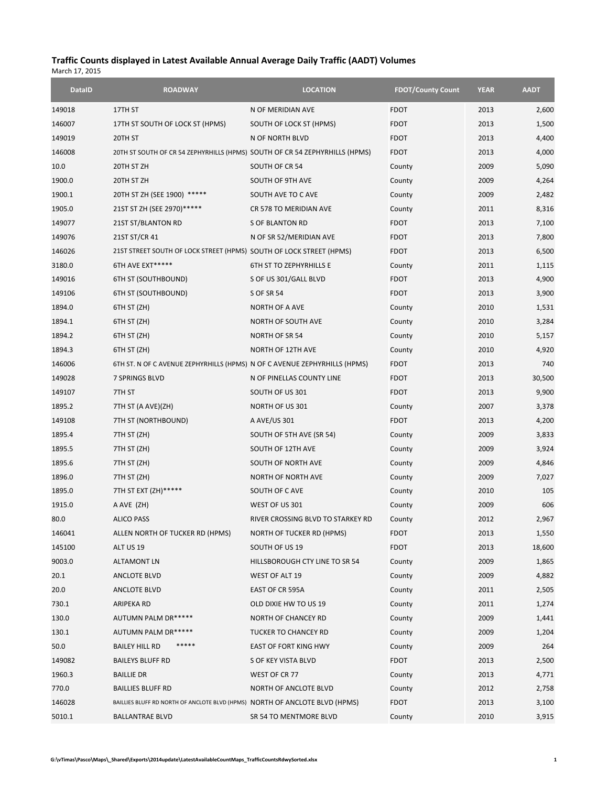## **Traffic Counts displayed in Latest Available Annual Average Daily Traffic (AADT) Volumes** March 17, 2015

| <b>DataID</b> | <b>ROADWAY</b>                                                              | <b>LOCATION</b>                   | <b>FDOT/County Count</b> | <b>YEAR</b> | <b>AADT</b> |
|---------------|-----------------------------------------------------------------------------|-----------------------------------|--------------------------|-------------|-------------|
| 149018        | 17TH ST                                                                     | N OF MERIDIAN AVE                 | <b>FDOT</b>              | 2013        | 2,600       |
| 146007        | 17TH ST SOUTH OF LOCK ST (HPMS)                                             | SOUTH OF LOCK ST (HPMS)           | <b>FDOT</b>              | 2013        | 1,500       |
| 149019        | 20TH ST                                                                     | N OF NORTH BLVD                   | <b>FDOT</b>              | 2013        | 4,400       |
| 146008        | 20TH ST SOUTH OF CR 54 ZEPHYRHILLS (HPMS) SOUTH OF CR 54 ZEPHYRHILLS (HPMS) |                                   | <b>FDOT</b>              | 2013        | 4,000       |
| 10.0          | 20TH ST ZH                                                                  | SOUTH OF CR 54                    | County                   | 2009        | 5,090       |
| 1900.0        | 20TH ST ZH                                                                  | SOUTH OF 9TH AVE                  | County                   | 2009        | 4,264       |
| 1900.1        | 20TH ST ZH (SEE 1900) *****                                                 | SOUTH AVE TO CAVE                 | County                   | 2009        | 2,482       |
| 1905.0        | 21ST ST ZH (SEE 2970)*****                                                  | CR 578 TO MERIDIAN AVE            | County                   | 2011        | 8,316       |
| 149077        | 21ST ST/BLANTON RD                                                          | <b>S OF BLANTON RD</b>            | <b>FDOT</b>              | 2013        | 7,100       |
| 149076        | 21ST ST/CR 41                                                               | N OF SR 52/MERIDIAN AVE           | <b>FDOT</b>              | 2013        | 7,800       |
| 146026        | 21ST STREET SOUTH OF LOCK STREET (HPMS) SOUTH OF LOCK STREET (HPMS)         |                                   | <b>FDOT</b>              | 2013        | 6,500       |
| 3180.0        | 6TH AVE EXT*****                                                            | <b>6TH ST TO ZEPHYRHILLS E</b>    | County                   | 2011        | 1,115       |
| 149016        | 6TH ST (SOUTHBOUND)                                                         | S OF US 301/GALL BLVD             | <b>FDOT</b>              | 2013        | 4,900       |
| 149106        | <b>6TH ST (SOUTHBOUND)</b>                                                  | <b>S OF SR 54</b>                 | <b>FDOT</b>              | 2013        | 3,900       |
| 1894.0        | 6TH ST (ZH)                                                                 | NORTH OF A AVE                    | County                   | 2010        | 1,531       |
| 1894.1        | 6TH ST (ZH)                                                                 | NORTH OF SOUTH AVE                | County                   | 2010        | 3,284       |
| 1894.2        | 6TH ST (ZH)                                                                 | <b>NORTH OF SR 54</b>             | County                   | 2010        | 5,157       |
| 1894.3        | 6TH ST (ZH)                                                                 | NORTH OF 12TH AVE                 | County                   | 2010        | 4,920       |
| 146006        | 6TH ST. N OF C AVENUE ZEPHYRHILLS (HPMS) N OF C AVENUE ZEPHYRHILLS (HPMS)   |                                   | <b>FDOT</b>              | 2013        | 740         |
| 149028        | 7 SPRINGS BLVD                                                              | N OF PINELLAS COUNTY LINE         | <b>FDOT</b>              | 2013        | 30,500      |
| 149107        | 7TH ST                                                                      | SOUTH OF US 301                   | <b>FDOT</b>              | 2013        | 9,900       |
| 1895.2        | 7TH ST (A AVE)(ZH)                                                          | NORTH OF US 301                   | County                   | 2007        | 3,378       |
| 149108        | 7TH ST (NORTHBOUND)                                                         | A AVE/US 301                      | <b>FDOT</b>              | 2013        | 4,200       |
| 1895.4        | 7TH ST (ZH)                                                                 | SOUTH OF 5TH AVE (SR 54)          | County                   | 2009        | 3,833       |
| 1895.5        | 7TH ST (ZH)                                                                 | SOUTH OF 12TH AVE                 | County                   | 2009        | 3,924       |
| 1895.6        | 7TH ST (ZH)                                                                 | SOUTH OF NORTH AVE                | County                   | 2009        | 4,846       |
| 1896.0        | 7TH ST (ZH)                                                                 | <b>NORTH OF NORTH AVE</b>         | County                   | 2009        | 7,027       |
| 1895.0        | 7TH ST EXT (ZH)*****                                                        | SOUTH OF CAVE                     | County                   | 2010        | 105         |
| 1915.0        | A AVE (ZH)                                                                  | WEST OF US 301                    | County                   | 2009        | 606         |
| 80.0          | <b>ALICO PASS</b>                                                           | RIVER CROSSING BLVD TO STARKEY RD | County                   | 2012        | 2,967       |
| 146041        | ALLEN NORTH OF TUCKER RD (HPMS)                                             | <b>NORTH OF TUCKER RD (HPMS)</b>  | <b>FDOT</b>              | 2013        | 1,550       |
| 145100        | ALT US 19                                                                   | SOUTH OF US 19                    | <b>FDOT</b>              | 2013        | 18,600      |
| 9003.0        | <b>ALTAMONT LN</b>                                                          | HILLSBOROUGH CTY LINE TO SR 54    | County                   | 2009        | 1,865       |
| 20.1          | ANCLOTE BLVD                                                                | WEST OF ALT 19                    | County                   | 2009        | 4,882       |
| 20.0          | <b>ANCLOTE BLVD</b>                                                         | EAST OF CR 595A                   | County                   | 2011        | 2,505       |
| 730.1         | ARIPEKA RD                                                                  | OLD DIXIE HW TO US 19             | County                   | 2011        | 1,274       |
| 130.0         | AUTUMN PALM DR*****                                                         | NORTH OF CHANCEY RD               | County                   | 2009        | 1,441       |
| 130.1         | AUTUMN PALM DR*****                                                         | TUCKER TO CHANCEY RD              | County                   | 2009        | 1,204       |
| 50.0          | <b>BAILEY HILL RD</b>                                                       | EAST OF FORT KING HWY             | County                   | 2009        | 264         |
| 149082        | <b>BAILEYS BLUFF RD</b>                                                     | S OF KEY VISTA BLVD               | <b>FDOT</b>              | 2013        | 2,500       |
| 1960.3        | <b>BAILLIE DR</b>                                                           | WEST OF CR 77                     | County                   | 2013        | 4,771       |
| 770.0         | <b>BAILLIES BLUFF RD</b>                                                    | NORTH OF ANCLOTE BLVD             | County                   | 2012        | 2,758       |
| 146028        | BAILLIES BLUFF RD NORTH OF ANCLOTE BLVD (HPMS) NORTH OF ANCLOTE BLVD (HPMS) |                                   | <b>FDOT</b>              | 2013        | 3,100       |
| 5010.1        | <b>BALLANTRAE BLVD</b>                                                      | SR 54 TO MENTMORE BLVD            | County                   | 2010        | 3,915       |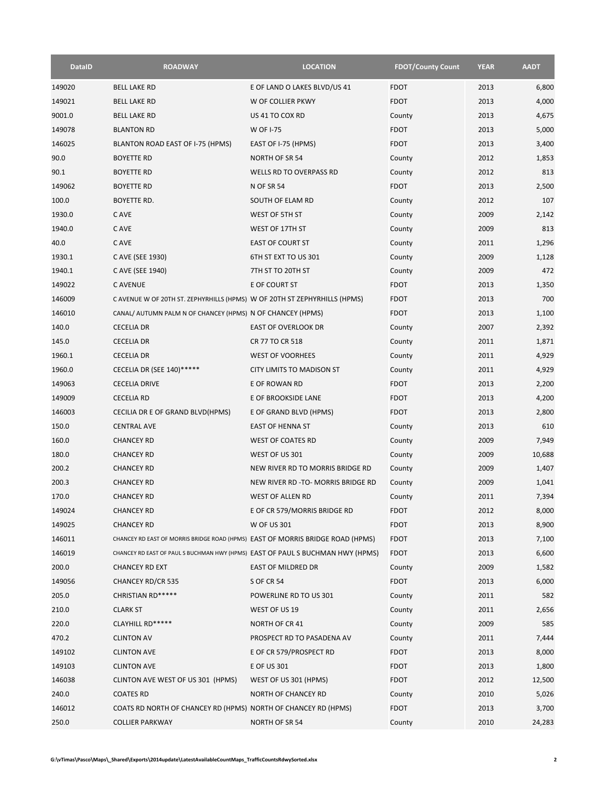| <b>DataID</b> | <b>ROADWAY</b>                                                                 | <b>LOCATION</b>                    | <b>FDOT/County Count</b> | <b>YEAR</b> | <b>AADT</b> |
|---------------|--------------------------------------------------------------------------------|------------------------------------|--------------------------|-------------|-------------|
| 149020        | <b>BELL LAKE RD</b>                                                            | E OF LAND O LAKES BLVD/US 41       | <b>FDOT</b>              | 2013        | 6,800       |
| 149021        | <b>BELL LAKE RD</b>                                                            | W OF COLLIER PKWY                  | <b>FDOT</b>              | 2013        | 4,000       |
| 9001.0        | <b>BELL LAKE RD</b>                                                            | US 41 TO COX RD                    | County                   | 2013        | 4,675       |
| 149078        | <b>BLANTON RD</b>                                                              | W OF I-75                          | <b>FDOT</b>              | 2013        | 5,000       |
| 146025        | BLANTON ROAD EAST OF I-75 (HPMS)                                               | EAST OF I-75 (HPMS)                | <b>FDOT</b>              | 2013        | 3,400       |
| 90.0          | <b>BOYETTE RD</b>                                                              | NORTH OF SR 54                     | County                   | 2012        | 1,853       |
| 90.1          | <b>BOYETTE RD</b>                                                              | <b>WELLS RD TO OVERPASS RD</b>     | County                   | 2012        | 813         |
| 149062        | <b>BOYETTE RD</b>                                                              | N OF SR 54                         | <b>FDOT</b>              | 2013        | 2,500       |
| 100.0         | BOYETTE RD.                                                                    | SOUTH OF ELAM RD                   | County                   | 2012        | 107         |
| 1930.0        | C AVE                                                                          | WEST OF 5TH ST                     | County                   | 2009        | 2,142       |
| 1940.0        | C AVE                                                                          | WEST OF 17TH ST                    | County                   | 2009        | 813         |
| 40.0          | C AVE                                                                          | <b>EAST OF COURT ST</b>            | County                   | 2011        | 1,296       |
| 1930.1        | C AVE (SEE 1930)                                                               | 6TH ST EXT TO US 301               | County                   | 2009        | 1,128       |
| 1940.1        | C AVE (SEE 1940)                                                               | 7TH ST TO 20TH ST                  | County                   | 2009        | 472         |
| 149022        | <b>CAVENUE</b>                                                                 | E OF COURT ST                      | <b>FDOT</b>              | 2013        | 1,350       |
| 146009        | C AVENUE W OF 20TH ST. ZEPHYRHILLS (HPMS) W OF 20TH ST ZEPHYRHILLS (HPMS)      |                                    | <b>FDOT</b>              | 2013        | 700         |
| 146010        | CANAL/ AUTUMN PALM N OF CHANCEY (HPMS) N OF CHANCEY (HPMS)                     |                                    | <b>FDOT</b>              | 2013        | 1,100       |
| 140.0         | <b>CECELIA DR</b>                                                              | <b>EAST OF OVERLOOK DR</b>         | County                   | 2007        | 2,392       |
| 145.0         | <b>CECELIA DR</b>                                                              | CR 77 TO CR 518                    | County                   | 2011        | 1,871       |
| 1960.1        | <b>CECELIA DR</b>                                                              | <b>WEST OF VOORHEES</b>            | County                   | 2011        | 4,929       |
| 1960.0        | <b>CECELIA DR (SEE 140)*****</b>                                               | <b>CITY LIMITS TO MADISON ST</b>   | County                   | 2011        | 4,929       |
| 149063        | <b>CECELIA DRIVE</b>                                                           | E OF ROWAN RD                      | <b>FDOT</b>              | 2013        | 2,200       |
| 149009        | <b>CECELIA RD</b>                                                              | E OF BROOKSIDE LANE                | <b>FDOT</b>              | 2013        | 4,200       |
| 146003        | CECILIA DR E OF GRAND BLVD(HPMS)                                               | E OF GRAND BLVD (HPMS)             | <b>FDOT</b>              | 2013        | 2,800       |
| 150.0         | <b>CENTRAL AVE</b>                                                             | EAST OF HENNA ST                   | County                   | 2013        | 610         |
| 160.0         | <b>CHANCEY RD</b>                                                              | <b>WEST OF COATES RD</b>           | County                   | 2009        | 7,949       |
| 180.0         | <b>CHANCEY RD</b>                                                              | WEST OF US 301                     | County                   | 2009        | 10,688      |
| 200.2         | <b>CHANCEY RD</b>                                                              | NEW RIVER RD TO MORRIS BRIDGE RD   | County                   | 2009        | 1,407       |
| 200.3         | <b>CHANCEY RD</b>                                                              | NEW RIVER RD -TO- MORRIS BRIDGE RD | County                   | 2009        | 1,041       |
| 170.0         | <b>CHANCEY RD</b>                                                              | <b>WEST OF ALLEN RD</b>            | County                   | 2011        | 7,394       |
| 149024        | <b>CHANCEY RD</b>                                                              | E OF CR 579/MORRIS BRIDGE RD       | <b>FDOT</b>              | 2012        | 8,000       |
| 149025        | <b>CHANCEY RD</b>                                                              | W OF US 301                        | <b>FDOT</b>              | 2013        | 8,900       |
| 146011        | CHANCEY RD EAST OF MORRIS BRIDGE ROAD (HPMS) EAST OF MORRIS BRIDGE ROAD (HPMS) |                                    | <b>FDOT</b>              | 2013        | 7,100       |
| 146019        | CHANCEY RD EAST OF PAUL S BUCHMAN HWY (HPMS) EAST OF PAUL S BUCHMAN HWY (HPMS) |                                    | <b>FDOT</b>              | 2013        | 6,600       |
| 200.0         | <b>CHANCEY RD EXT</b>                                                          | EAST OF MILDRED DR                 | County                   | 2009        | 1,582       |
| 149056        | <b>CHANCEY RD/CR 535</b>                                                       | <b>S OF CR 54</b>                  | <b>FDOT</b>              | 2013        | 6,000       |
| 205.0         | CHRISTIAN RD*****                                                              | POWERLINE RD TO US 301             | County                   | 2011        | 582         |
| 210.0         | <b>CLARK ST</b>                                                                | WEST OF US 19                      | County                   | 2011        | 2,656       |
| 220.0         | CLAYHILL RD*****                                                               | NORTH OF CR 41                     | County                   | 2009        | 585         |
| 470.2         | <b>CLINTON AV</b>                                                              | PROSPECT RD TO PASADENA AV         | County                   | 2011        | 7,444       |
| 149102        | <b>CLINTON AVE</b>                                                             | E OF CR 579/PROSPECT RD            | <b>FDOT</b>              | 2013        | 8,000       |
| 149103        | <b>CLINTON AVE</b>                                                             | E OF US 301                        | <b>FDOT</b>              | 2013        | 1,800       |
| 146038        | CLINTON AVE WEST OF US 301 (HPMS)                                              | WEST OF US 301 (HPMS)              | <b>FDOT</b>              | 2012        | 12,500      |
| 240.0         | <b>COATES RD</b>                                                               | <b>NORTH OF CHANCEY RD</b>         | County                   | 2010        | 5,026       |
| 146012        | COATS RD NORTH OF CHANCEY RD (HPMS) NORTH OF CHANCEY RD (HPMS)                 |                                    | <b>FDOT</b>              | 2013        | 3,700       |
| 250.0         | <b>COLLIER PARKWAY</b>                                                         | NORTH OF SR 54                     | County                   | 2010        | 24,283      |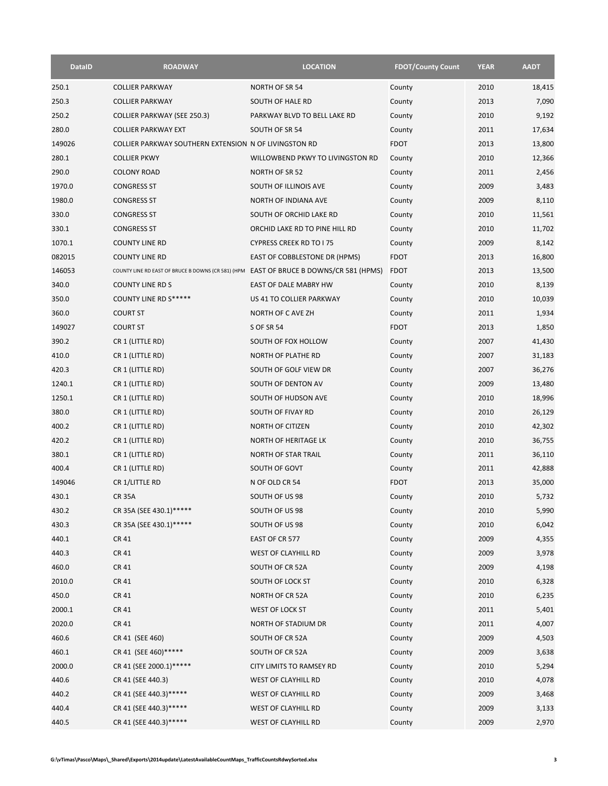| <b>DataID</b> | <b>ROADWAY</b>                                                                         | <b>LOCATION</b>                  | <b>FDOT/County Count</b> | <b>YEAR</b> | <b>AADT</b> |
|---------------|----------------------------------------------------------------------------------------|----------------------------------|--------------------------|-------------|-------------|
| 250.1         | <b>COLLIER PARKWAY</b>                                                                 | NORTH OF SR 54                   | County                   | 2010        | 18,415      |
| 250.3         | <b>COLLIER PARKWAY</b>                                                                 | SOUTH OF HALE RD                 | County                   | 2013        | 7,090       |
| 250.2         | <b>COLLIER PARKWAY (SEE 250.3)</b>                                                     | PARKWAY BLVD TO BELL LAKE RD     | County                   | 2010        | 9,192       |
| 280.0         | <b>COLLIER PARKWAY EXT</b>                                                             | SOUTH OF SR 54                   | County                   | 2011        | 17,634      |
| 149026        | COLLIER PARKWAY SOUTHERN EXTENSION N OF LIVINGSTON RD                                  |                                  | <b>FDOT</b>              | 2013        | 13,800      |
| 280.1         | <b>COLLIER PKWY</b>                                                                    | WILLOWBEND PKWY TO LIVINGSTON RD | County                   | 2010        | 12,366      |
| 290.0         | <b>COLONY ROAD</b>                                                                     | NORTH OF SR 52                   | County                   | 2011        | 2,456       |
| 1970.0        | <b>CONGRESS ST</b>                                                                     | SOUTH OF ILLINOIS AVE            | County                   | 2009        | 3,483       |
| 1980.0        | CONGRESS ST                                                                            | NORTH OF INDIANA AVE             | County                   | 2009        | 8,110       |
| 330.0         | <b>CONGRESS ST</b>                                                                     | SOUTH OF ORCHID LAKE RD          | County                   | 2010        | 11,561      |
| 330.1         | <b>CONGRESS ST</b>                                                                     | ORCHID LAKE RD TO PINE HILL RD   | County                   | 2010        | 11,702      |
| 1070.1        | <b>COUNTY LINE RD</b>                                                                  | <b>CYPRESS CREEK RD TO I 75</b>  | County                   | 2009        | 8,142       |
| 082015        | <b>COUNTY LINE RD</b>                                                                  | EAST OF COBBLESTONE DR (HPMS)    | <b>FDOT</b>              | 2013        | 16,800      |
| 146053        | COUNTY LINE RD EAST OF BRUCE B DOWNS (CR 581) (HPM EAST OF BRUCE B DOWNS/CR 581 (HPMS) |                                  | <b>FDOT</b>              | 2013        | 13,500      |
| 340.0         | <b>COUNTY LINE RD S</b>                                                                | <b>EAST OF DALE MABRY HW</b>     | County                   | 2010        | 8,139       |
| 350.0         | <b>COUNTY LINE RD S*****</b>                                                           | US 41 TO COLLIER PARKWAY         | County                   | 2010        | 10,039      |
| 360.0         | <b>COURT ST</b>                                                                        | NORTH OF C AVE ZH                | County                   | 2011        | 1,934       |
| 149027        | <b>COURT ST</b>                                                                        | <b>S OF SR 54</b>                | <b>FDOT</b>              | 2013        | 1,850       |
| 390.2         | CR 1 (LITTLE RD)                                                                       | SOUTH OF FOX HOLLOW              | County                   | 2007        | 41,430      |
| 410.0         | CR 1 (LITTLE RD)                                                                       | NORTH OF PLATHE RD               | County                   | 2007        | 31,183      |
| 420.3         | CR 1 (LITTLE RD)                                                                       | SOUTH OF GOLF VIEW DR            | County                   | 2007        | 36,276      |
| 1240.1        | CR 1 (LITTLE RD)                                                                       | SOUTH OF DENTON AV               | County                   | 2009        | 13,480      |
| 1250.1        | CR 1 (LITTLE RD)                                                                       | SOUTH OF HUDSON AVE              | County                   | 2010        | 18,996      |
| 380.0         | CR 1 (LITTLE RD)                                                                       | SOUTH OF FIVAY RD                | County                   | 2010        | 26,129      |
| 400.2         | CR 1 (LITTLE RD)                                                                       | NORTH OF CITIZEN                 | County                   | 2010        | 42,302      |
| 420.2         | CR 1 (LITTLE RD)                                                                       | NORTH OF HERITAGE LK             | County                   | 2010        | 36,755      |
| 380.1         | CR 1 (LITTLE RD)                                                                       | <b>NORTH OF STAR TRAIL</b>       | County                   | 2011        | 36,110      |
| 400.4         | CR 1 (LITTLE RD)                                                                       | SOUTH OF GOVT                    | County                   | 2011        | 42,888      |
| 149046        | CR 1/LITTLE RD                                                                         | N OF OLD CR 54                   | <b>FDOT</b>              | 2013        | 35,000      |
| 430.1         | <b>CR 35A</b>                                                                          | SOUTH OF US 98                   | County                   | 2010        | 5,732       |
| 430.2         | CR 35A (SEE 430.1)*****                                                                | SOUTH OF US 98                   | County                   | 2010        | 5,990       |
| 430.3         | CR 35A (SEE 430.1)*****                                                                | SOUTH OF US 98                   | County                   | 2010        | 6,042       |
| 440.1         | CR 41                                                                                  | EAST OF CR 577                   | County                   | 2009        | 4,355       |
| 440.3         | CR 41                                                                                  | <b>WEST OF CLAYHILL RD</b>       | County                   | 2009        | 3,978       |
| 460.0         | CR 41                                                                                  | SOUTH OF CR 52A                  | County                   | 2009        | 4,198       |
| 2010.0        | CR 41                                                                                  | SOUTH OF LOCK ST                 | County                   | 2010        | 6,328       |
| 450.0         | <b>CR41</b>                                                                            | NORTH OF CR 52A                  | County                   | 2010        | 6,235       |
| 2000.1        | CR 41                                                                                  | WEST OF LOCK ST                  | County                   | 2011        | 5,401       |
| 2020.0        | CR 41                                                                                  | NORTH OF STADIUM DR              | County                   | 2011        | 4,007       |
| 460.6         | CR 41 (SEE 460)                                                                        | SOUTH OF CR 52A                  | County                   | 2009        | 4,503       |
| 460.1         | CR 41 (SEE 460)******                                                                  | SOUTH OF CR 52A                  | County                   | 2009        | 3,638       |
| 2000.0        | CR 41 (SEE 2000.1)******                                                               | CITY LIMITS TO RAMSEY RD         | County                   | 2010        | 5,294       |
| 440.6         | CR 41 (SEE 440.3)                                                                      | WEST OF CLAYHILL RD              | County                   | 2010        | 4,078       |
| 440.2         | CR 41 (SEE 440.3)*****                                                                 | WEST OF CLAYHILL RD              | County                   | 2009        | 3,468       |
| 440.4         | CR 41 (SEE 440.3)*****                                                                 | WEST OF CLAYHILL RD              | County                   | 2009        | 3,133       |
| 440.5         | CR 41 (SEE 440.3)******                                                                | WEST OF CLAYHILL RD              | County                   | 2009        | 2,970       |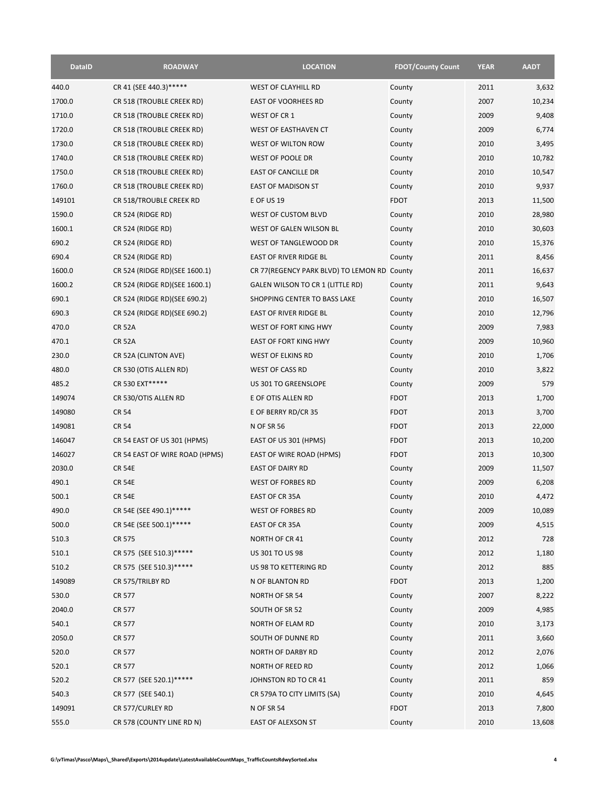| <b>DataID</b> | <b>ROADWAY</b>                 | <b>LOCATION</b>                             | <b>FDOT/County Count</b> | <b>YEAR</b> | <b>AADT</b> |
|---------------|--------------------------------|---------------------------------------------|--------------------------|-------------|-------------|
| 440.0         | CR 41 (SEE 440.3)*****         | <b>WEST OF CLAYHILL RD</b>                  | County                   | 2011        | 3,632       |
| 1700.0        | CR 518 (TROUBLE CREEK RD)      | <b>EAST OF VOORHEES RD</b>                  | County                   | 2007        | 10,234      |
| 1710.0        | CR 518 (TROUBLE CREEK RD)      | WEST OF CR 1                                | County                   | 2009        | 9,408       |
| 1720.0        | CR 518 (TROUBLE CREEK RD)      | WEST OF EASTHAVEN CT                        | County                   | 2009        | 6,774       |
| 1730.0        | CR 518 (TROUBLE CREEK RD)      | WEST OF WILTON ROW                          | County                   | 2010        | 3,495       |
| 1740.0        | CR 518 (TROUBLE CREEK RD)      | <b>WEST OF POOLE DR</b>                     | County                   | 2010        | 10,782      |
| 1750.0        | CR 518 (TROUBLE CREEK RD)      | EAST OF CANCILLE DR                         | County                   | 2010        | 10,547      |
| 1760.0        | CR 518 (TROUBLE CREEK RD)      | <b>EAST OF MADISON ST</b>                   | County                   | 2010        | 9,937       |
| 149101        | CR 518/TROUBLE CREEK RD        | <b>E OF US 19</b>                           | <b>FDOT</b>              | 2013        | 11,500      |
| 1590.0        | CR 524 (RIDGE RD)              | WEST OF CUSTOM BLVD                         | County                   | 2010        | 28,980      |
| 1600.1        | CR 524 (RIDGE RD)              | WEST OF GALEN WILSON BL                     | County                   | 2010        | 30,603      |
| 690.2         | CR 524 (RIDGE RD)              | WEST OF TANGLEWOOD DR                       | County                   | 2010        | 15,376      |
| 690.4         | CR 524 (RIDGE RD)              | EAST OF RIVER RIDGE BL                      | County                   | 2011        | 8,456       |
| 1600.0        | CR 524 (RIDGE RD) (SEE 1600.1) | CR 77(REGENCY PARK BLVD) TO LEMON RD County |                          | 2011        | 16,637      |
| 1600.2        | CR 524 (RIDGE RD) (SEE 1600.1) | GALEN WILSON TO CR 1 (LITTLE RD)            | County                   | 2011        | 9,643       |
| 690.1         | CR 524 (RIDGE RD)(SEE 690.2)   | SHOPPING CENTER TO BASS LAKE                | County                   | 2010        | 16,507      |
| 690.3         | CR 524 (RIDGE RD) (SEE 690.2)  | <b>EAST OF RIVER RIDGE BL</b>               | County                   | 2010        | 12,796      |
| 470.0         | <b>CR 52A</b>                  | WEST OF FORT KING HWY                       | County                   | 2009        | 7,983       |
| 470.1         | <b>CR 52A</b>                  | <b>EAST OF FORT KING HWY</b>                | County                   | 2009        | 10,960      |
| 230.0         | CR 52A (CLINTON AVE)           | WEST OF ELKINS RD                           | County                   | 2010        | 1,706       |
| 480.0         | CR 530 (OTIS ALLEN RD)         | <b>WEST OF CASS RD</b>                      | County                   | 2010        | 3,822       |
| 485.2         | CR 530 EXT*****                | US 301 TO GREENSLOPE                        | County                   | 2009        | 579         |
| 149074        | CR 530/OTIS ALLEN RD           | E OF OTIS ALLEN RD                          | <b>FDOT</b>              | 2013        | 1,700       |
| 149080        | <b>CR 54</b>                   | E OF BERRY RD/CR 35                         | <b>FDOT</b>              | 2013        | 3,700       |
| 149081        | <b>CR 54</b>                   | <b>N OF SR 56</b>                           | <b>FDOT</b>              | 2013        | 22,000      |
| 146047        | CR 54 EAST OF US 301 (HPMS)    | EAST OF US 301 (HPMS)                       | <b>FDOT</b>              | 2013        | 10,200      |
| 146027        | CR 54 EAST OF WIRE ROAD (HPMS) | EAST OF WIRE ROAD (HPMS)                    | <b>FDOT</b>              | 2013        | 10,300      |
| 2030.0        | <b>CR 54E</b>                  | <b>EAST OF DAIRY RD</b>                     | County                   | 2009        | 11,507      |
| 490.1         | <b>CR 54E</b>                  | <b>WEST OF FORBES RD</b>                    | County                   | 2009        | 6,208       |
| 500.1         | <b>CR 54E</b>                  | EAST OF CR 35A                              | County                   | 2010        | 4,472       |
| 490.0         | CR 54E (SEE 490.1)*****        | WEST OF FORBES RD                           | County                   | 2009        | 10,089      |
| 500.0         | CR 54E (SEE 500.1)******       | EAST OF CR 35A                              | County                   | 2009        | 4,515       |
| 510.3         | CR 575                         | NORTH OF CR 41                              | County                   | 2012        | 728         |
| 510.1         | CR 575 (SEE 510.3)*****        | US 301 TO US 98                             | County                   | 2012        | 1,180       |
| 510.2         | CR 575 (SEE 510.3)******       | US 98 TO KETTERING RD                       | County                   | 2012        | 885         |
| 149089        | CR 575/TRILBY RD               | N OF BLANTON RD                             | <b>FDOT</b>              | 2013        | 1,200       |
| 530.0         | CR 577                         | NORTH OF SR 54                              | County                   | 2007        | 8,222       |
| 2040.0        | CR 577                         | SOUTH OF SR 52                              | County                   | 2009        | 4,985       |
| 540.1         | CR 577                         | NORTH OF ELAM RD                            | County                   | 2010        | 3,173       |
| 2050.0        | CR 577                         | SOUTH OF DUNNE RD                           | County                   | 2011        | 3,660       |
| 520.0         | CR 577                         | <b>NORTH OF DARBY RD</b>                    | County                   | 2012        | 2,076       |
| 520.1         | CR 577                         | NORTH OF REED RD                            | County                   | 2012        | 1,066       |
| 520.2         | CR 577 (SEE 520.1)*****        | JOHNSTON RD TO CR 41                        | County                   | 2011        | 859         |
| 540.3         | CR 577 (SEE 540.1)             | CR 579A TO CITY LIMITS (SA)                 | County                   | 2010        | 4,645       |
| 149091        | CR 577/CURLEY RD               | <b>N OF SR 54</b>                           | <b>FDOT</b>              | 2013        | 7,800       |
| 555.0         | CR 578 (COUNTY LINE RD N)      | EAST OF ALEXSON ST                          | County                   | 2010        | 13,608      |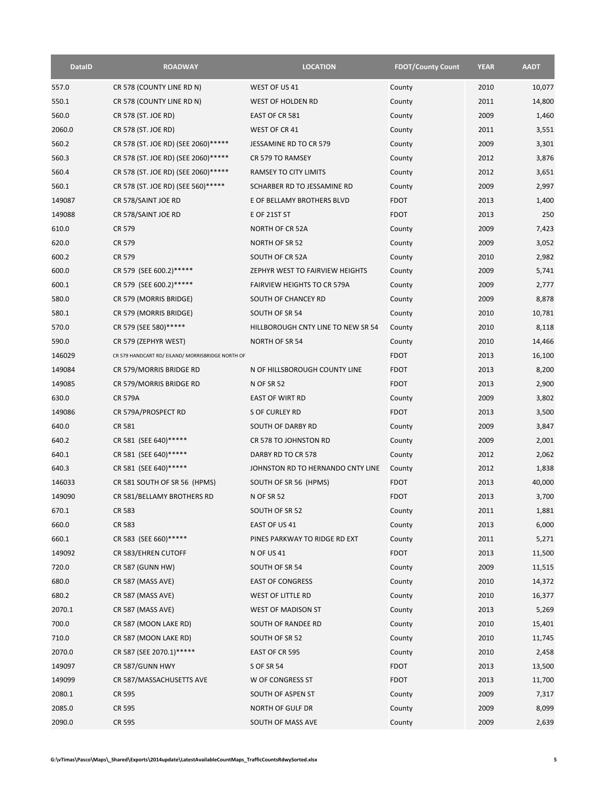| <b>DataID</b> | <b>ROADWAY</b>                                    | <b>LOCATION</b>                    | <b>FDOT/County Count</b> | <b>YEAR</b> | <b>AADT</b> |
|---------------|---------------------------------------------------|------------------------------------|--------------------------|-------------|-------------|
| 557.0         | CR 578 (COUNTY LINE RD N)                         | WEST OF US 41                      | County                   | 2010        | 10,077      |
| 550.1         | CR 578 (COUNTY LINE RD N)                         | WEST OF HOLDEN RD                  | County                   | 2011        | 14,800      |
| 560.0         | CR 578 (ST. JOE RD)                               | EAST OF CR 581                     | County                   | 2009        | 1,460       |
| 2060.0        | CR 578 (ST. JOE RD)                               | WEST OF CR 41                      | County                   | 2011        | 3,551       |
| 560.2         | CR 578 (ST. JOE RD) (SEE 2060)*****               | JESSAMINE RD TO CR 579             | County                   | 2009        | 3,301       |
| 560.3         | CR 578 (ST. JOE RD) (SEE 2060)*****               | CR 579 TO RAMSEY                   | County                   | 2012        | 3,876       |
| 560.4         | CR 578 (ST. JOE RD) (SEE 2060)*****               | RAMSEY TO CITY LIMITS              | County                   | 2012        | 3,651       |
| 560.1         | CR 578 (ST. JOE RD) (SEE 560)******               | SCHARBER RD TO JESSAMINE RD        | County                   | 2009        | 2,997       |
| 149087        | CR 578/SAINT JOE RD                               | E OF BELLAMY BROTHERS BLVD         | <b>FDOT</b>              | 2013        | 1,400       |
| 149088        | CR 578/SAINT JOE RD                               | E OF 21ST ST                       | <b>FDOT</b>              | 2013        | 250         |
| 610.0         | CR 579                                            | NORTH OF CR 52A                    | County                   | 2009        | 7,423       |
| 620.0         | CR 579                                            | NORTH OF SR 52                     | County                   | 2009        | 3,052       |
| 600.2         | <b>CR 579</b>                                     | SOUTH OF CR 52A                    | County                   | 2010        | 2,982       |
| 600.0         | CR 579 (SEE 600.2)*****                           | ZEPHYR WEST TO FAIRVIEW HEIGHTS    | County                   | 2009        | 5,741       |
| 600.1         | CR 579 (SEE 600.2)******                          | <b>FAIRVIEW HEIGHTS TO CR 579A</b> | County                   | 2009        | 2,777       |
| 580.0         | CR 579 (MORRIS BRIDGE)                            | SOUTH OF CHANCEY RD                | County                   | 2009        | 8,878       |
| 580.1         | CR 579 (MORRIS BRIDGE)                            | SOUTH OF SR 54                     | County                   | 2010        | 10,781      |
| 570.0         | CR 579 (SEE 580)******                            | HILLBOROUGH CNTY LINE TO NEW SR 54 | County                   | 2010        | 8,118       |
| 590.0         | CR 579 (ZEPHYR WEST)                              | <b>NORTH OF SR 54</b>              | County                   | 2010        | 14,466      |
| 146029        | CR 579 HANDCART RD/ EILAND/ MORRISBRIDGE NORTH OF |                                    | <b>FDOT</b>              | 2013        | 16,100      |
| 149084        | CR 579/MORRIS BRIDGE RD                           | N OF HILLSBOROUGH COUNTY LINE      | <b>FDOT</b>              | 2013        | 8,200       |
| 149085        | CR 579/MORRIS BRIDGE RD                           | <b>N OF SR 52</b>                  | <b>FDOT</b>              | 2013        | 2,900       |
| 630.0         | <b>CR 579A</b>                                    | <b>EAST OF WIRT RD</b>             | County                   | 2009        | 3,802       |
| 149086        | CR 579A/PROSPECT RD                               | S OF CURLEY RD                     | <b>FDOT</b>              | 2013        | 3,500       |
| 640.0         | CR 581                                            | SOUTH OF DARBY RD                  | County                   | 2009        | 3,847       |
| 640.2         | CR 581 (SEE 640)******                            | CR 578 TO JOHNSTON RD              | County                   | 2009        | 2,001       |
| 640.1         | CR 581 (SEE 640) ******                           | DARBY RD TO CR 578                 | County                   | 2012        | 2,062       |
| 640.3         | CR 581 (SEE 640) ******                           | JOHNSTON RD TO HERNANDO CNTY LINE  | County                   | 2012        | 1,838       |
| 146033        | CR 581 SOUTH OF SR 56 (HPMS)                      | SOUTH OF SR 56 (HPMS)              | <b>FDOT</b>              | 2013        | 40,000      |
| 149090        | CR 581/BELLAMY BROTHERS RD                        | <b>N OF SR 52</b>                  | <b>FDOT</b>              | 2013        | 3,700       |
| 670.1         | CR 583                                            | SOUTH OF SR 52                     | County                   | 2011        | 1,881       |
| 660.0         | CR 583                                            | EAST OF US 41                      | County                   | 2013        | 6,000       |
| 660.1         | CR 583 (SEE 660)******                            | PINES PARKWAY TO RIDGE RD EXT      | County                   | 2011        | 5,271       |
| 149092        | CR 583/EHREN CUTOFF                               | <b>N OF US 41</b>                  | <b>FDOT</b>              | 2013        | 11,500      |
| 720.0         | <b>CR 587 (GUNN HW)</b>                           | SOUTH OF SR 54                     | County                   | 2009        | 11,515      |
| 680.0         | CR 587 (MASS AVE)                                 | <b>EAST OF CONGRESS</b>            | County                   | 2010        | 14,372      |
| 680.2         | CR 587 (MASS AVE)                                 | WEST OF LITTLE RD                  | County                   | 2010        | 16,377      |
| 2070.1        | CR 587 (MASS AVE)                                 | WEST OF MADISON ST                 | County                   | 2013        | 5,269       |
| 700.0         | CR 587 (MOON LAKE RD)                             | SOUTH OF RANDEE RD                 | County                   | 2010        | 15,401      |
| 710.0         | CR 587 (MOON LAKE RD)                             | SOUTH OF SR 52                     | County                   | 2010        | 11,745      |
| 2070.0        | CR 587 (SEE 2070.1)*****                          | EAST OF CR 595                     | County                   | 2010        | 2,458       |
| 149097        | CR 587/GUNN HWY                                   | <b>S OF SR 54</b>                  | <b>FDOT</b>              | 2013        | 13,500      |
| 149099        | CR 587/MASSACHUSETTS AVE                          | W OF CONGRESS ST                   | <b>FDOT</b>              | 2013        | 11,700      |
| 2080.1        | CR 595                                            | SOUTH OF ASPEN ST                  | County                   | 2009        | 7,317       |
| 2085.0        | CR 595                                            | NORTH OF GULF DR                   | County                   | 2009        | 8,099       |
| 2090.0        | CR 595                                            | SOUTH OF MASS AVE                  | County                   | 2009        | 2,639       |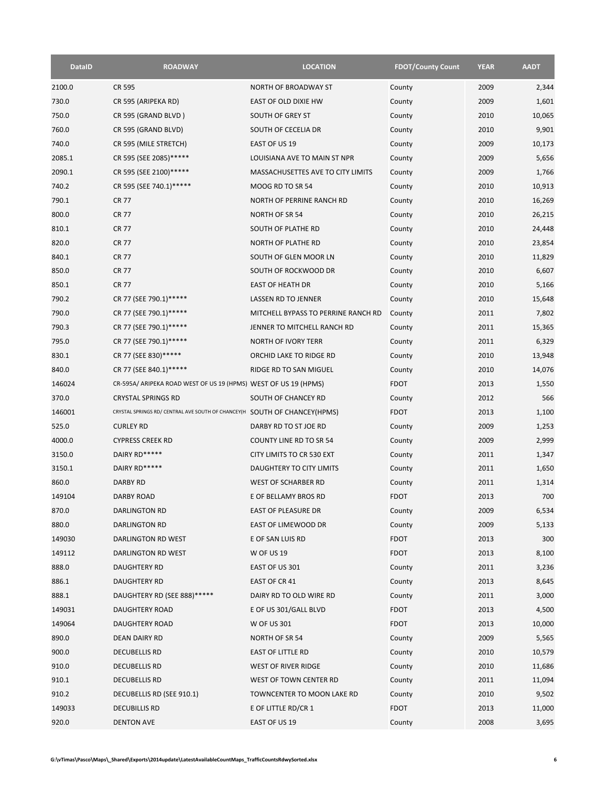| <b>DataID</b> | <b>ROADWAY</b>                                                            | <b>LOCATION</b>                             | <b>FDOT/County Count</b> | <b>YEAR</b> | <b>AADT</b> |
|---------------|---------------------------------------------------------------------------|---------------------------------------------|--------------------------|-------------|-------------|
| 2100.0        | <b>CR 595</b>                                                             | NORTH OF BROADWAY ST                        | County                   | 2009        | 2,344       |
| 730.0         | CR 595 (ARIPEKA RD)                                                       | EAST OF OLD DIXIE HW                        | County                   | 2009        | 1,601       |
| 750.0         | CR 595 (GRAND BLVD)                                                       | SOUTH OF GREY ST                            | County                   | 2010        | 10,065      |
| 760.0         | CR 595 (GRAND BLVD)                                                       | SOUTH OF CECELIA DR                         | County                   | 2010        | 9,901       |
| 740.0         | CR 595 (MILE STRETCH)                                                     | EAST OF US 19                               | County                   | 2009        | 10,173      |
| 2085.1        | CR 595 (SEE 2085)******                                                   | LOUISIANA AVE TO MAIN ST NPR                | County                   | 2009        | 5,656       |
| 2090.1        | CR 595 (SEE 2100) ******                                                  | MASSACHUSETTES AVE TO CITY LIMITS           | County                   | 2009        | 1,766       |
| 740.2         | CR 595 (SEE 740.1)*****                                                   | MOOG RD TO SR 54                            | County                   | 2010        | 10,913      |
| 790.1         | <b>CR 77</b>                                                              | NORTH OF PERRINE RANCH RD                   | County                   | 2010        | 16,269      |
| 800.0         | <b>CR 77</b>                                                              | <b>NORTH OF SR 54</b>                       | County                   | 2010        | 26,215      |
| 810.1         | <b>CR 77</b>                                                              | SOUTH OF PLATHE RD                          | County                   | 2010        | 24,448      |
| 820.0         | <b>CR 77</b>                                                              | NORTH OF PLATHE RD                          | County                   | 2010        | 23,854      |
| 840.1         | <b>CR 77</b>                                                              | SOUTH OF GLEN MOOR LN                       | County                   | 2010        | 11,829      |
| 850.0         | <b>CR 77</b>                                                              | SOUTH OF ROCKWOOD DR                        | County                   | 2010        | 6,607       |
| 850.1         | <b>CR 77</b>                                                              | <b>EAST OF HEATH DR</b>                     | County                   | 2010        | 5,166       |
| 790.2         | CR 77 (SEE 790.1)******                                                   | LASSEN RD TO JENNER                         | County                   | 2010        | 15,648      |
| 790.0         | CR 77 (SEE 790.1)******                                                   | MITCHELL BYPASS TO PERRINE RANCH RD         | County                   | 2011        | 7,802       |
| 790.3         | CR 77 (SEE 790.1)******                                                   | JENNER TO MITCHELL RANCH RD                 | County                   | 2011        | 15,365      |
| 795.0         | CR 77 (SEE 790.1)*****                                                    | NORTH OF IVORY TERR                         | County                   | 2011        | 6,329       |
| 830.1         | CR 77 (SEE 830)******                                                     | ORCHID LAKE TO RIDGE RD                     | County                   | 2010        | 13,948      |
| 840.0         | CR 77 (SEE 840.1)******                                                   | RIDGE RD TO SAN MIGUEL                      | County                   | 2010        | 14,076      |
| 146024        | CR-595A/ ARIPEKA ROAD WEST OF US 19 (HPMS) WEST OF US 19 (HPMS)           |                                             | <b>FDOT</b>              | 2013        | 1,550       |
| 370.0         | <b>CRYSTAL SPRINGS RD</b>                                                 | SOUTH OF CHANCEY RD                         | County                   | 2012        | 566         |
| 146001        | CRYSTAL SPRINGS RD/ CENTRAL AVE SOUTH OF CHANCEY(H SOUTH OF CHANCEY(HPMS) |                                             | <b>FDOT</b>              | 2013        | 1,100       |
| 525.0         | <b>CURLEY RD</b>                                                          | DARBY RD TO ST JOE RD                       | County                   | 2009        | 1,253       |
| 4000.0        | <b>CYPRESS CREEK RD</b>                                                   | <b>COUNTY LINE RD TO SR 54</b>              | County                   | 2009        | 2,999       |
| 3150.0        | DAIRY RD*****                                                             | CITY LIMITS TO CR 530 EXT                   | County                   | 2011        | 1,347       |
| 3150.1        | DAIRY RD*****                                                             | DAUGHTERY TO CITY LIMITS                    |                          | 2011        | 1,650       |
| 860.0         | <b>DARBY RD</b>                                                           |                                             | County                   | 2011        | 1,314       |
| 149104        | <b>DARBY ROAD</b>                                                         | WEST OF SCHARBER RD<br>E OF BELLAMY BROS RD | County<br><b>FDOT</b>    | 2013        | 700         |
|               |                                                                           |                                             |                          |             |             |
| 870.0         | DARLINGTON RD                                                             | EAST OF PLEASURE DR                         | County                   | 2009        | 6,534       |
| 880.0         | DARLINGTON RD                                                             | EAST OF LIMEWOOD DR                         | County                   | 2009        | 5,133       |
| 149030        | DARLINGTON RD WEST                                                        | E OF SAN LUIS RD                            | <b>FDOT</b>              | 2013        | 300         |
| 149112        | DARLINGTON RD WEST                                                        | <b>W OF US 19</b>                           | <b>FDOT</b>              | 2013        | 8,100       |
| 888.0         | DAUGHTERY RD                                                              | EAST OF US 301                              | County                   | 2011        | 3,236       |
| 886.1         | DAUGHTERY RD                                                              | EAST OF CR 41                               | County                   | 2013        | 8,645       |
| 888.1         | DAUGHTERY RD (SEE 888)*****                                               | DAIRY RD TO OLD WIRE RD                     | County                   | 2011        | 3,000       |
| 149031        | <b>DAUGHTERY ROAD</b>                                                     | E OF US 301/GALL BLVD                       | <b>FDOT</b>              | 2013        | 4,500       |
| 149064        | DAUGHTERY ROAD                                                            | W OF US 301                                 | <b>FDOT</b>              | 2013        | 10,000      |
| 890.0         | DEAN DAIRY RD                                                             | NORTH OF SR 54                              | County                   | 2009        | 5,565       |
| 900.0         | <b>DECUBELLIS RD</b>                                                      | EAST OF LITTLE RD                           | County                   | 2010        | 10,579      |
| 910.0         | <b>DECUBELLIS RD</b>                                                      | WEST OF RIVER RIDGE                         | County                   | 2010        | 11,686      |
| 910.1         | <b>DECUBELLIS RD</b>                                                      | WEST OF TOWN CENTER RD                      | County                   | 2011        | 11,094      |
| 910.2         | DECUBELLIS RD (SEE 910.1)                                                 | TOWNCENTER TO MOON LAKE RD                  | County                   | 2010        | 9,502       |
| 149033        | <b>DECUBILLIS RD</b>                                                      | E OF LITTLE RD/CR 1                         | <b>FDOT</b>              | 2013        | 11,000      |
| 920.0         | <b>DENTON AVE</b>                                                         | EAST OF US 19                               | County                   | 2008        | 3,695       |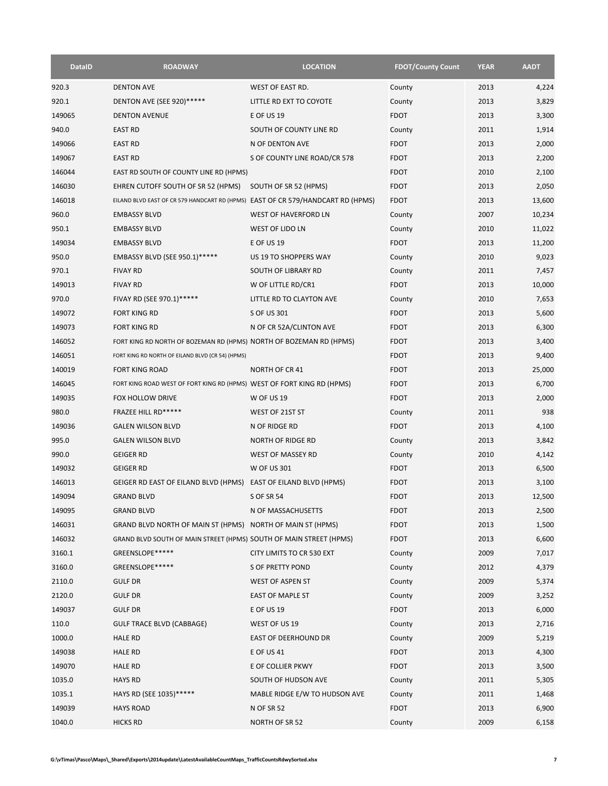| <b>DataID</b> | <b>ROADWAY</b>                                                                  | <b>LOCATION</b>               | <b>FDOT/County Count</b> | <b>YEAR</b> | <b>AADT</b> |
|---------------|---------------------------------------------------------------------------------|-------------------------------|--------------------------|-------------|-------------|
| 920.3         | <b>DENTON AVE</b>                                                               | WEST OF EAST RD.              | County                   | 2013        | 4,224       |
| 920.1         | DENTON AVE (SEE 920)*****                                                       | LITTLE RD EXT TO COYOTE       | County                   | 2013        | 3,829       |
| 149065        | <b>DENTON AVENUE</b>                                                            | <b>E OF US 19</b>             | <b>FDOT</b>              | 2013        | 3,300       |
| 940.0         | <b>EAST RD</b>                                                                  | SOUTH OF COUNTY LINE RD       | County                   | 2011        | 1,914       |
| 149066        | <b>EAST RD</b>                                                                  | N OF DENTON AVE               | <b>FDOT</b>              | 2013        | 2,000       |
| 149067        | <b>EAST RD</b>                                                                  | S OF COUNTY LINE ROAD/CR 578  | <b>FDOT</b>              | 2013        | 2,200       |
| 146044        | EAST RD SOUTH OF COUNTY LINE RD (HPMS)                                          |                               | <b>FDOT</b>              | 2010        | 2,100       |
| 146030        | EHREN CUTOFF SOUTH OF SR 52 (HPMS)                                              | SOUTH OF SR 52 (HPMS)         | <b>FDOT</b>              | 2013        | 2,050       |
| 146018        | EILAND BLVD EAST OF CR 579 HANDCART RD (HPMS) EAST OF CR 579/HANDCART RD (HPMS) |                               | <b>FDOT</b>              | 2013        | 13,600      |
| 960.0         | <b>EMBASSY BLVD</b>                                                             | <b>WEST OF HAVERFORD LN</b>   | County                   | 2007        | 10,234      |
| 950.1         | <b>EMBASSY BLVD</b>                                                             | WEST OF LIDO LN               | County                   | 2010        | 11,022      |
| 149034        | <b>EMBASSY BLVD</b>                                                             | <b>E OF US 19</b>             | <b>FDOT</b>              | 2013        | 11,200      |
| 950.0         | EMBASSY BLVD (SEE 950.1)*****                                                   | US 19 TO SHOPPERS WAY         | County                   | 2010        | 9,023       |
| 970.1         | <b>FIVAY RD</b>                                                                 | SOUTH OF LIBRARY RD           | County                   | 2011        | 7,457       |
| 149013        | <b>FIVAY RD</b>                                                                 | W OF LITTLE RD/CR1            | <b>FDOT</b>              | 2013        | 10,000      |
| 970.0         | FIVAY RD (SEE 970.1)*****                                                       | LITTLE RD TO CLAYTON AVE      | County                   | 2010        | 7,653       |
| 149072        | <b>FORT KING RD</b>                                                             | S OF US 301                   | <b>FDOT</b>              | 2013        | 5,600       |
| 149073        | <b>FORT KING RD</b>                                                             | N OF CR 52A/CLINTON AVE       | <b>FDOT</b>              | 2013        | 6,300       |
| 146052        | FORT KING RD NORTH OF BOZEMAN RD (HPMS) NORTH OF BOZEMAN RD (HPMS)              |                               | <b>FDOT</b>              | 2013        | 3,400       |
| 146051        | FORT KING RD NORTH OF EILAND BLVD (CR 54) (HPMS)                                |                               | <b>FDOT</b>              | 2013        | 9,400       |
| 140019        | <b>FORT KING ROAD</b>                                                           | <b>NORTH OF CR 41</b>         | <b>FDOT</b>              | 2013        | 25,000      |
| 146045        | FORT KING ROAD WEST OF FORT KING RD (HPMS) WEST OF FORT KING RD (HPMS)          |                               | <b>FDOT</b>              | 2013        | 6,700       |
| 149035        | FOX HOLLOW DRIVE                                                                | <b>W OF US 19</b>             | <b>FDOT</b>              | 2013        | 2,000       |
| 980.0         | FRAZEE HILL RD*****                                                             | WEST OF 21ST ST               | County                   | 2011        | 938         |
| 149036        | <b>GALEN WILSON BLVD</b>                                                        | N OF RIDGE RD                 | <b>FDOT</b>              | 2013        | 4,100       |
| 995.0         | <b>GALEN WILSON BLVD</b>                                                        | NORTH OF RIDGE RD             | County                   | 2013        | 3,842       |
| 990.0         | <b>GEIGER RD</b>                                                                | <b>WEST OF MASSEY RD</b>      | County                   | 2010        | 4,142       |
| 149032        | <b>GEIGER RD</b>                                                                | <b>W OF US 301</b>            | <b>FDOT</b>              | 2013        | 6,500       |
| 146013        | GEIGER RD EAST OF EILAND BLVD (HPMS)                                            | EAST OF EILAND BLVD (HPMS)    | <b>FDOT</b>              | 2013        | 3,100       |
| 149094        | <b>GRAND BLVD</b>                                                               | <b>S OF SR 54</b>             | <b>FDOT</b>              | 2013        | 12,500      |
| 149095        | <b>GRAND BLVD</b>                                                               | N OF MASSACHUSETTS            | <b>FDOT</b>              | 2013        | 2,500       |
| 146031        | GRAND BLVD NORTH OF MAIN ST (HPMS) NORTH OF MAIN ST (HPMS)                      |                               | <b>FDOT</b>              | 2013        | 1,500       |
| 146032        | GRAND BLVD SOUTH OF MAIN STREET (HPMS) SOUTH OF MAIN STREET (HPMS)              |                               | <b>FDOT</b>              | 2013        | 6,600       |
| 3160.1        | GREENSLOPE*****                                                                 | CITY LIMITS TO CR 530 EXT     | County                   | 2009        | 7,017       |
| 3160.0        | GREENSLOPE*****                                                                 | S OF PRETTY POND              | County                   | 2012        | 4,379       |
| 2110.0        | <b>GULF DR</b>                                                                  | WEST OF ASPEN ST              | County                   | 2009        | 5,374       |
| 2120.0        | <b>GULF DR</b>                                                                  | EAST OF MAPLE ST              | County                   | 2009        | 3,252       |
| 149037        | <b>GULF DR</b>                                                                  | E OF US 19                    | <b>FDOT</b>              | 2013        | 6,000       |
| 110.0         | GULF TRACE BLVD (CABBAGE)                                                       | WEST OF US 19                 | County                   | 2013        | 2,716       |
| 1000.0        | <b>HALE RD</b>                                                                  | EAST OF DEERHOUND DR          | County                   | 2009        | 5,219       |
| 149038        | <b>HALE RD</b>                                                                  | E OF US 41                    | <b>FDOT</b>              | 2013        | 4,300       |
| 149070        | <b>HALE RD</b>                                                                  | E OF COLLIER PKWY             | <b>FDOT</b>              | 2013        | 3,500       |
| 1035.0        | <b>HAYS RD</b>                                                                  | SOUTH OF HUDSON AVE           | County                   | 2011        | 5,305       |
| 1035.1        | HAYS RD (SEE 1035)*****                                                         | MABLE RIDGE E/W TO HUDSON AVE | County                   | 2011        | 1,468       |
| 149039        | <b>HAYS ROAD</b>                                                                | <b>N OF SR 52</b>             | <b>FDOT</b>              | 2013        | 6,900       |
| 1040.0        | <b>HICKS RD</b>                                                                 | NORTH OF SR 52                | County                   | 2009        | 6,158       |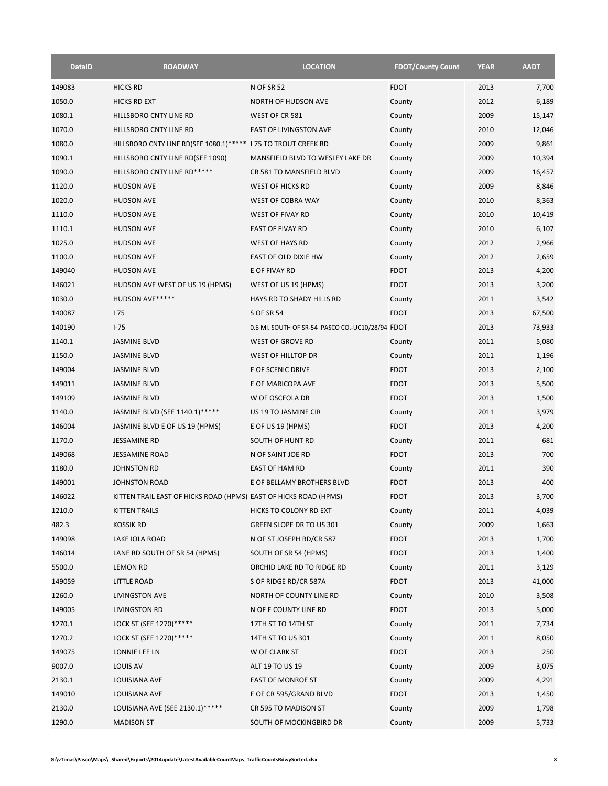| <b>DataID</b> | <b>ROADWAY</b>                                                   | <b>LOCATION</b>                                  | <b>FDOT/County Count</b> | <b>YEAR</b> | <b>AADT</b> |
|---------------|------------------------------------------------------------------|--------------------------------------------------|--------------------------|-------------|-------------|
| 149083        | <b>HICKS RD</b>                                                  | <b>N OF SR 52</b>                                | <b>FDOT</b>              | 2013        | 7,700       |
| 1050.0        | <b>HICKS RD EXT</b>                                              | NORTH OF HUDSON AVE                              | County                   | 2012        | 6,189       |
| 1080.1        | HILLSBORO CNTY LINE RD                                           | WEST OF CR 581                                   | County                   | 2009        | 15,147      |
| 1070.0        | HILLSBORO CNTY LINE RD                                           | <b>EAST OF LIVINGSTON AVE</b>                    | County                   | 2010        | 12,046      |
| 1080.0        | HILLSBORO CNTY LINE RD(SEE 1080.1)*****   75 TO TROUT CREEK RD   |                                                  | County                   | 2009        | 9,861       |
| 1090.1        | HILLSBORO CNTY LINE RD(SEE 1090)                                 | MANSFIELD BLVD TO WESLEY LAKE DR                 | County                   | 2009        | 10,394      |
| 1090.0        | HILLSBORO CNTY LINE RD*****                                      | CR 581 TO MANSFIELD BLVD                         | County                   | 2009        | 16,457      |
| 1120.0        | <b>HUDSON AVE</b>                                                | <b>WEST OF HICKS RD</b>                          | County                   | 2009        | 8,846       |
| 1020.0        | <b>HUDSON AVE</b>                                                | WEST OF COBRA WAY                                | County                   | 2010        | 8,363       |
| 1110.0        | <b>HUDSON AVE</b>                                                | WEST OF FIVAY RD                                 | County                   | 2010        | 10,419      |
| 1110.1        | <b>HUDSON AVE</b>                                                | <b>EAST OF FIVAY RD</b>                          | County                   | 2010        | 6,107       |
| 1025.0        | <b>HUDSON AVE</b>                                                | <b>WEST OF HAYS RD</b>                           | County                   | 2012        | 2,966       |
| 1100.0        | <b>HUDSON AVE</b>                                                | EAST OF OLD DIXIE HW                             | County                   | 2012        | 2,659       |
| 149040        | <b>HUDSON AVE</b>                                                | E OF FIVAY RD                                    | <b>FDOT</b>              | 2013        | 4,200       |
| 146021        | HUDSON AVE WEST OF US 19 (HPMS)                                  | WEST OF US 19 (HPMS)                             | <b>FDOT</b>              | 2013        | 3,200       |
| 1030.0        | HUDSON AVE*****                                                  | HAYS RD TO SHADY HILLS RD                        | County                   | 2011        | 3,542       |
| 140087        | 175                                                              | <b>S OF SR 54</b>                                | <b>FDOT</b>              | 2013        | 67,500      |
| 140190        | $1 - 75$                                                         | 0.6 MI. SOUTH OF SR-54 PASCO CO.-UC10/28/94 FDOT |                          | 2013        | 73,933      |
| 1140.1        | <b>JASMINE BLVD</b>                                              | WEST OF GROVE RD                                 | County                   | 2011        | 5,080       |
| 1150.0        | <b>JASMINE BLVD</b>                                              | WEST OF HILLTOP DR                               |                          | 2011        | 1,196       |
|               |                                                                  |                                                  | County                   |             |             |
| 149004        | <b>JASMINE BLVD</b>                                              | E OF SCENIC DRIVE                                | <b>FDOT</b>              | 2013        | 2,100       |
| 149011        | <b>JASMINE BLVD</b>                                              | E OF MARICOPA AVE                                | <b>FDOT</b>              | 2013        | 5,500       |
| 149109        | <b>JASMINE BLVD</b>                                              | W OF OSCEOLA DR                                  | <b>FDOT</b>              | 2013        | 1,500       |
| 1140.0        | JASMINE BLVD (SEE 1140.1)*****                                   | US 19 TO JASMINE CIR                             | County                   | 2011        | 3,979       |
| 146004        | JASMINE BLVD E OF US 19 (HPMS)                                   | E OF US 19 (HPMS)                                | <b>FDOT</b>              | 2013        | 4,200       |
| 1170.0        | <b>JESSAMINE RD</b>                                              | SOUTH OF HUNT RD                                 | County                   | 2011        | 681         |
| 149068        | <b>JESSAMINE ROAD</b>                                            | N OF SAINT JOE RD                                | <b>FDOT</b>              | 2013        | 700         |
| 1180.0        | <b>JOHNSTON RD</b>                                               | EAST OF HAM RD                                   | County                   | 2011        | 390         |
| 149001        | <b>JOHNSTON ROAD</b>                                             | E OF BELLAMY BROTHERS BLVD                       | <b>FDOT</b>              | 2013        | 400         |
| 146022        | KITTEN TRAIL EAST OF HICKS ROAD (HPMS) EAST OF HICKS ROAD (HPMS) |                                                  | <b>FDOT</b>              | 2013        | 3,700       |
| 1210.0        | KITTEN TRAILS                                                    | HICKS TO COLONY RD EXT                           | County                   | 2011        | 4,039       |
| 482.3         | <b>KOSSIK RD</b>                                                 | GREEN SLOPE DR TO US 301                         | County                   | 2009        | 1,663       |
| 149098        | LAKE IOLA ROAD                                                   | N OF ST JOSEPH RD/CR 587                         | <b>FDOT</b>              | 2013        | 1,700       |
| 146014        | LANE RD SOUTH OF SR 54 (HPMS)                                    | SOUTH OF SR 54 (HPMS)                            | <b>FDOT</b>              | 2013        | 1,400       |
| 5500.0        | <b>LEMON RD</b>                                                  | ORCHID LAKE RD TO RIDGE RD                       | County                   | 2011        | 3,129       |
| 149059        | LITTLE ROAD                                                      | S OF RIDGE RD/CR 587A                            | <b>FDOT</b>              | 2013        | 41,000      |
| 1260.0        | <b>LIVINGSTON AVE</b>                                            | NORTH OF COUNTY LINE RD                          | County                   | 2010        | 3,508       |
| 149005        | LIVINGSTON RD                                                    | N OF E COUNTY LINE RD                            | <b>FDOT</b>              | 2013        | 5,000       |
| 1270.1        | LOCK ST (SEE 1270)*****                                          | 17TH ST TO 14TH ST                               | County                   | 2011        | 7,734       |
| 1270.2        | LOCK ST (SEE 1270)******                                         | 14TH ST TO US 301                                | County                   | 2011        | 8,050       |
| 149075        | LONNIE LEE LN                                                    | W OF CLARK ST                                    | <b>FDOT</b>              | 2013        | 250         |
| 9007.0        | LOUIS AV                                                         | ALT 19 TO US 19                                  | County                   | 2009        | 3,075       |
| 2130.1        | LOUISIANA AVE                                                    | EAST OF MONROE ST                                | County                   | 2009        | 4,291       |
| 149010        | LOUISIANA AVE                                                    | E OF CR 595/GRAND BLVD                           | <b>FDOT</b>              | 2013        | 1,450       |
| 2130.0        | LOUISIANA AVE (SEE 2130.1)*****                                  | CR 595 TO MADISON ST                             | County                   | 2009        | 1,798       |
| 1290.0        | <b>MADISON ST</b>                                                | SOUTH OF MOCKINGBIRD DR                          | County                   | 2009        | 5,733       |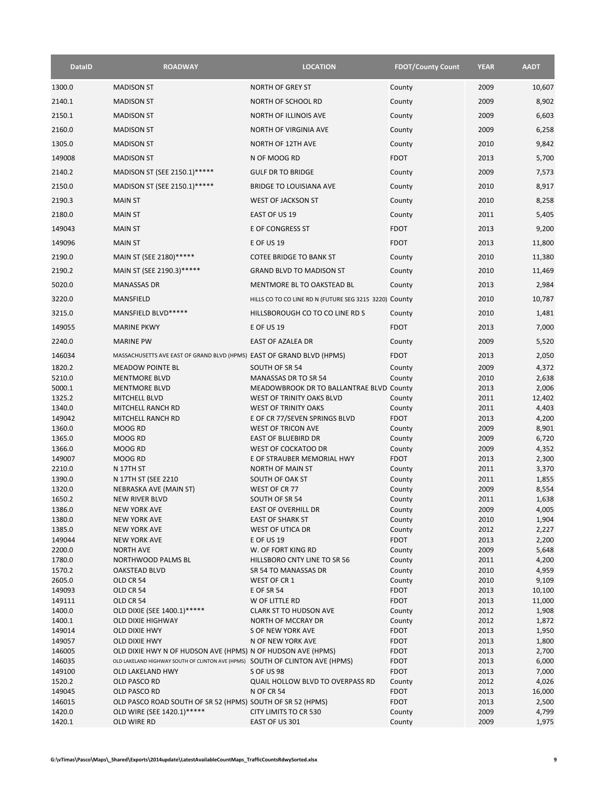| <b>DataID</b>    | <b>ROADWAY</b>                                                               | <b>LOCATION</b>                                                         | <b>FDOT/County Count</b> | <b>YEAR</b>  | <b>AADT</b>    |
|------------------|------------------------------------------------------------------------------|-------------------------------------------------------------------------|--------------------------|--------------|----------------|
| 1300.0           | <b>MADISON ST</b>                                                            | <b>NORTH OF GREY ST</b>                                                 | County                   | 2009         | 10,607         |
| 2140.1           | <b>MADISON ST</b>                                                            | NORTH OF SCHOOL RD                                                      | County                   | 2009         | 8,902          |
| 2150.1           | <b>MADISON ST</b>                                                            | NORTH OF ILLINOIS AVE                                                   | County                   | 2009         | 6,603          |
| 2160.0           | <b>MADISON ST</b>                                                            | <b>NORTH OF VIRGINIA AVE</b>                                            | County                   | 2009         | 6,258          |
|                  |                                                                              |                                                                         |                          |              |                |
| 1305.0           | <b>MADISON ST</b>                                                            | <b>NORTH OF 12TH AVE</b>                                                | County                   | 2010         | 9,842          |
| 149008           | <b>MADISON ST</b>                                                            | N OF MOOG RD                                                            | <b>FDOT</b>              | 2013         | 5,700          |
| 2140.2           | MADISON ST (SEE 2150.1)*****                                                 | <b>GULF DR TO BRIDGE</b>                                                | County                   | 2009         | 7,573          |
| 2150.0           | MADISON ST (SEE 2150.1)*****                                                 | <b>BRIDGE TO LOUISIANA AVE</b>                                          | County                   | 2010         | 8,917          |
| 2190.3           | <b>MAIN ST</b>                                                               | WEST OF JACKSON ST                                                      | County                   | 2010         | 8,258          |
| 2180.0           | <b>MAIN ST</b>                                                               | EAST OF US 19                                                           | County                   | 2011         | 5,405          |
| 149043           | <b>MAIN ST</b>                                                               | E OF CONGRESS ST                                                        | <b>FDOT</b>              | 2013         | 9,200          |
| 149096           | <b>MAIN ST</b>                                                               | <b>E OF US 19</b>                                                       | <b>FDOT</b>              | 2013         | 11,800         |
| 2190.0           | MAIN ST (SEE 2180)*****                                                      | <b>COTEE BRIDGE TO BANK ST</b>                                          | County                   | 2010         | 11,380         |
| 2190.2           | MAIN ST (SEE 2190.3)*****                                                    | <b>GRAND BLVD TO MADISON ST</b>                                         | County                   | 2010         | 11,469         |
| 5020.0           | <b>MANASSAS DR</b>                                                           | MENTMORE BL TO OAKSTEAD BL                                              | County                   | 2013         | 2,984          |
| 3220.0           | <b>MANSFIELD</b>                                                             | HILLS CO TO CO LINE RD N (FUTURE SEG 3215 3220) County                  |                          | 2010         | 10,787         |
|                  |                                                                              |                                                                         |                          |              |                |
| 3215.0           | MANSFIELD BLVD *****                                                         | HILLSBOROUGH CO TO CO LINE RD S                                         | County                   | 2010         | 1,481          |
| 149055           | <b>MARINE PKWY</b>                                                           | <b>E OF US 19</b>                                                       | <b>FDOT</b>              | 2013         | 7,000          |
| 2240.0           | <b>MARINE PW</b>                                                             | <b>EAST OF AZALEA DR</b>                                                | County                   | 2009         | 5,520          |
| 146034           | MASSACHUSETTS AVE EAST OF GRAND BLVD (HPMS) EAST OF GRAND BLVD (HPMS)        |                                                                         | <b>FDOT</b>              | 2013         | 2,050          |
| 1820.2           | <b>MEADOW POINTE BL</b>                                                      | SOUTH OF SR 54                                                          | County                   | 2009         | 4,372          |
| 5210.0<br>5000.1 | <b>MENTMORE BLVD</b><br><b>MENTMORE BLVD</b>                                 | <b>MANASSAS DR TO SR 54</b><br>MEADOWBROOK DR TO BALLANTRAE BLVD County | County                   | 2010<br>2013 | 2,638<br>2,006 |
| 1325.2           | <b>MITCHELL BLVD</b>                                                         | WEST OF TRINITY OAKS BLVD                                               | County                   | 2011         | 12,402         |
| 1340.0           | MITCHELL RANCH RD                                                            | WEST OF TRINITY OAKS                                                    | County                   | 2011         | 4,403          |
| 149042<br>1360.0 | MITCHELL RANCH RD<br>MOOG RD                                                 | E OF CR 77/SEVEN SPRINGS BLVD<br>WEST OF TRICON AVE                     | <b>FDOT</b>              | 2013<br>2009 | 4,200<br>8,901 |
| 1365.0           | MOOG RD                                                                      | <b>EAST OF BLUEBIRD DR</b>                                              | County<br>County         | 2009         | 6,720          |
| 1366.0           | MOOG RD                                                                      | WEST OF COCKATOO DR                                                     | County                   | 2009         | 4,352          |
| 149007           | MOOG RD                                                                      | E OF STRAUBER MEMORIAL HWY                                              | <b>FDOT</b>              | 2013         | 2,300          |
| 2210.0<br>1390.0 | N 17TH ST<br>N 17TH ST (SEE 2210                                             | <b>NORTH OF MAIN ST</b><br>SOUTH OF OAK ST                              | County<br>County         | 2011<br>2011 | 3,370<br>1,855 |
| 1320.0           | NEBRASKA AVE (MAIN ST)                                                       | WEST OF CR 77                                                           | County                   | 2009         | 8,554          |
| 1650.2           | <b>NEW RIVER BLVD</b>                                                        | SOUTH OF SR 54                                                          | County                   | 2011         | 1,638          |
| 1386.0           | <b>NEW YORK AVE</b>                                                          | <b>EAST OF OVERHILL DR</b>                                              | County                   | 2009         | 4,005          |
| 1380.0<br>1385.0 | NEW YORK AVE<br><b>NEW YORK AVE</b>                                          | <b>EAST OF SHARK ST</b><br>WEST OF UTICA DR                             | County<br>County         | 2010<br>2012 | 1,904<br>2,227 |
| 149044           | <b>NEW YORK AVE</b>                                                          | E OF US 19                                                              | <b>FDOT</b>              | 2013         | 2,200          |
| 2200.0           | <b>NORTH AVE</b>                                                             | W. OF FORT KING RD                                                      | County                   | 2009         | 5,648          |
| 1780.0           | NORTHWOOD PALMS BL                                                           | HILLSBORO CNTY LINE TO SR 56                                            | County                   | 2011         | 4,200          |
| 1570.2<br>2605.0 | <b>OAKSTEAD BLVD</b><br>OLD CR 54                                            | SR 54 TO MANASSAS DR<br>WEST OF CR 1                                    | County<br>County         | 2010<br>2010 | 4,959<br>9,109 |
| 149093           | OLD CR 54                                                                    | E OF SR 54                                                              | <b>FDOT</b>              | 2013         | 10,100         |
| 149111           | OLD CR 54                                                                    | W OF LITTLE RD                                                          | <b>FDOT</b>              | 2013         | 11,000         |
| 1400.0           | OLD DIXIE (SEE 1400.1)*****                                                  | <b>CLARK ST TO HUDSON AVE</b>                                           | County                   | 2012         | 1,908          |
| 1400.1<br>149014 | <b>OLD DIXIE HIGHWAY</b><br>OLD DIXIE HWY                                    | NORTH OF MCCRAY DR<br>S OF NEW YORK AVE                                 | County<br><b>FDOT</b>    | 2012<br>2013 | 1,872<br>1,950 |
| 149057           | OLD DIXIE HWY                                                                | N OF NEW YORK AVE                                                       | <b>FDOT</b>              | 2013         | 1,800          |
| 146005           | OLD DIXIE HWY N OF HUDSON AVE (HPMS) N OF HUDSON AVE (HPMS)                  |                                                                         | <b>FDOT</b>              | 2013         | 2,700          |
| 146035           | OLD LAKELAND HIGHWAY SOUTH OF CLINTON AVE (HPMS) SOUTH OF CLINTON AVE (HPMS) |                                                                         | <b>FDOT</b>              | 2013         | 6,000          |
| 149100<br>1520.2 | <b>OLD LAKELAND HWY</b><br>OLD PASCO RD                                      | S OF US 98<br>QUAIL HOLLOW BLVD TO OVERPASS RD                          | <b>FDOT</b><br>County    | 2013<br>2012 | 7,000<br>4,026 |
| 149045           | OLD PASCO RD                                                                 | <b>N OF CR 54</b>                                                       | <b>FDOT</b>              | 2013         | 16,000         |
| 146015           | OLD PASCO ROAD SOUTH OF SR 52 (HPMS) SOUTH OF SR 52 (HPMS)                   |                                                                         | <b>FDOT</b>              | 2013         | 2,500          |
| 1420.0<br>1420.1 | OLD WIRE (SEE 1420.1)*****<br>OLD WIRE RD                                    | CITY LIMITS TO CR 530<br>EAST OF US 301                                 | County<br>County         | 2009<br>2009 | 4,799<br>1,975 |
|                  |                                                                              |                                                                         |                          |              |                |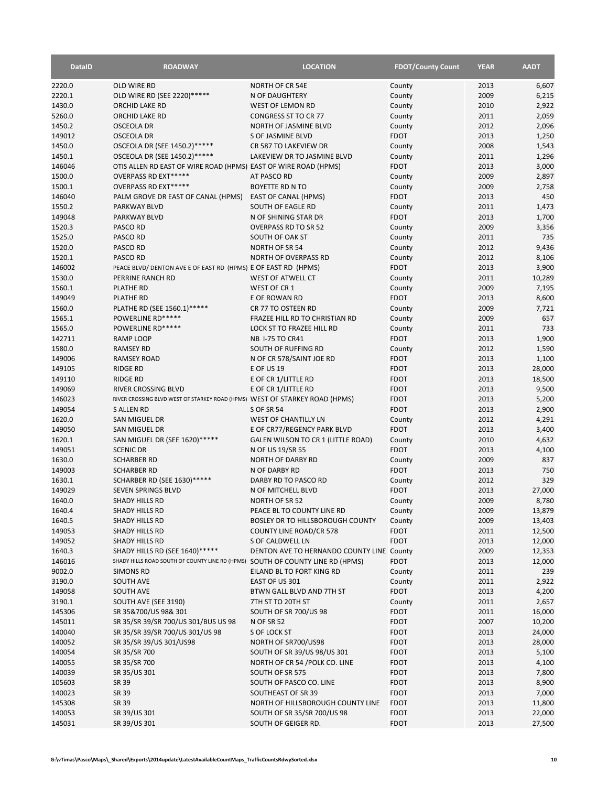| <b>DataID</b>    | <b>ROADWAY</b>                                                              | <b>LOCATION</b>                                    | <b>FDOT/County Count</b>   | <b>YEAR</b>  | <b>AADT</b>      |
|------------------|-----------------------------------------------------------------------------|----------------------------------------------------|----------------------------|--------------|------------------|
| 2220.0           | OLD WIRE RD                                                                 | <b>NORTH OF CR 54E</b>                             | County                     | 2013         | 6,607            |
| 2220.1           | OLD WIRE RD (SEE 2220)*****                                                 | N OF DAUGHTERY                                     | County                     | 2009         | 6,215            |
| 1430.0           | ORCHID LAKE RD                                                              | WEST OF LEMON RD                                   | County                     | 2010         | 2,922            |
| 5260.0           | ORCHID LAKE RD                                                              | CONGRESS ST TO CR 77                               | County                     | 2011         | 2,059            |
| 1450.2           | <b>OSCEOLA DR</b>                                                           | NORTH OF JASMINE BLVD                              | County                     | 2012         | 2,096            |
| 149012           | <b>OSCEOLA DR</b>                                                           | S OF JASMINE BLVD                                  | <b>FDOT</b>                | 2013         | 1,250            |
| 1450.0           | OSCEOLA DR (SEE 1450.2)*****                                                | CR 587 TO LAKEVIEW DR                              | County                     | 2008         | 1,543            |
| 1450.1           | OSCEOLA DR (SEE 1450.2)*****                                                | LAKEVIEW DR TO JASMINE BLVD                        | County                     | 2011         | 1,296            |
| 146046           | OTIS ALLEN RD EAST OF WIRE ROAD (HPMS) EAST OF WIRE ROAD (HPMS)             |                                                    | <b>FDOT</b>                | 2013         | 3,000            |
| 1500.0           | OVERPASS RD EXT*****                                                        | AT PASCO RD                                        | County                     | 2009         | 2,897            |
| 1500.1           | OVERPASS RD EXT*****                                                        | <b>BOYETTE RD N TO</b>                             | County                     | 2009         | 2,758            |
| 146040           | PALM GROVE DR EAST OF CANAL (HPMS)                                          | <b>EAST OF CANAL (HPMS)</b>                        | <b>FDOT</b>                | 2013         | 450              |
| 1550.2<br>149048 | <b>PARKWAY BLVD</b><br><b>PARKWAY BLVD</b>                                  | SOUTH OF EAGLE RD<br>N OF SHINING STAR DR          | County<br><b>FDOT</b>      | 2011<br>2013 | 1,473<br>1,700   |
| 1520.3           | PASCO RD                                                                    | <b>OVERPASS RD TO SR 52</b>                        | County                     | 2009         | 3,356            |
| 1525.0           | PASCO RD                                                                    | SOUTH OF OAK ST                                    | County                     | 2011         | 735              |
| 1520.0           | PASCO RD                                                                    | <b>NORTH OF SR 54</b>                              | County                     | 2012         | 9,436            |
| 1520.1           | PASCO RD                                                                    | <b>NORTH OF OVERPASS RD</b>                        | County                     | 2012         | 8,106            |
| 146002           | PEACE BLVD/ DENTON AVE E OF EAST RD (HPMS) E OF EAST RD (HPMS)              |                                                    | <b>FDOT</b>                | 2013         | 3,900            |
| 1530.0           | PERRINE RANCH RD                                                            | WEST OF ATWELL CT                                  | County                     | 2011         | 10,289           |
| 1560.1           | <b>PLATHE RD</b>                                                            | WEST OF CR 1                                       | County                     | 2009         | 7,195            |
| 149049           | <b>PLATHE RD</b>                                                            | E OF ROWAN RD                                      | <b>FDOT</b>                | 2013         | 8,600            |
| 1560.0           | PLATHE RD (SEE 1560.1)*****                                                 | CR 77 TO OSTEEN RD                                 | County                     | 2009         | 7,721            |
| 1565.1           | POWERLINE RD*****                                                           | FRAZEE HILL RD TO CHRISTIAN RD                     | County                     | 2009         | 657              |
| 1565.0           | POWERLINE RD*****                                                           | LOCK ST TO FRAZEE HILL RD                          | County                     | 2011         | 733              |
| 142711           | <b>RAMP LOOP</b>                                                            | NB 1-75 TO CR41                                    | <b>FDOT</b>                | 2013         | 1,900            |
| 1580.0           | <b>RAMSEY RD</b>                                                            | SOUTH OF RUFFING RD                                | County                     | 2012         | 1,590            |
| 149006           | <b>RAMSEY ROAD</b>                                                          | N OF CR 578/SAINT JOE RD                           | <b>FDOT</b>                | 2013         | 1,100            |
| 149105           | <b>RIDGE RD</b>                                                             | E OF US 19                                         | <b>FDOT</b>                | 2013         | 28,000           |
| 149110           | <b>RIDGE RD</b>                                                             | E OF CR 1/LITTLE RD                                | <b>FDOT</b>                | 2013         | 18,500           |
| 149069           | <b>RIVER CROSSING BLVD</b>                                                  | E OF CR 1/LITTLE RD                                | <b>FDOT</b>                | 2013         | 9,500            |
| 146023           | RIVER CROSSING BLVD WEST OF STARKEY ROAD (HPMS) WEST OF STARKEY ROAD (HPMS) |                                                    | <b>FDOT</b>                | 2013         | 5,200            |
| 149054           | <b>S ALLEN RD</b>                                                           | <b>S OF SR 54</b>                                  | <b>FDOT</b>                | 2013         | 2,900            |
| 1620.0           | SAN MIGUEL DR                                                               | WEST OF CHANTILLY LN                               | County                     | 2012         | 4,291            |
| 149050           | SAN MIGUEL DR                                                               | E OF CR77/REGENCY PARK BLVD                        | <b>FDOT</b>                | 2013         | 3,400            |
| 1620.1           | SAN MIGUEL DR (SEE 1620)*****                                               | GALEN WILSON TO CR 1 (LITTLE ROAD)                 | County                     | 2010         | 4,632            |
| 149051<br>1630.0 | <b>SCENIC DR</b><br><b>SCHARBER RD</b>                                      | N OF US 19/SR 55<br><b>NORTH OF DARBY RD</b>       | <b>FDOT</b>                | 2013<br>2009 | 4,100<br>837     |
| 149003           | <b>SCHARBER RD</b>                                                          | N OF DARBY RD                                      | County<br><b>FDOT</b>      | 2013         | 750              |
| 1630.1           | SCHARBER RD (SEE 1630)*****                                                 | DARBY RD TO PASCO RD                               | County                     | 2012         | 329              |
| 149029           | <b>SEVEN SPRINGS BLVD</b>                                                   | N OF MITCHELL BLVD                                 | <b>FDOT</b>                | 2013         | 27,000           |
| 1640.0           | SHADY HILLS RD                                                              | NORTH OF SR 52                                     | County                     | 2009         | 8,780            |
| 1640.4           | <b>SHADY HILLS RD</b>                                                       | PEACE BL TO COUNTY LINE RD                         | County                     | 2009         | 13,879           |
| 1640.5           | <b>SHADY HILLS RD</b>                                                       | BOSLEY DR TO HILLSBOROUGH COUNTY                   | County                     | 2009         | 13,403           |
| 149053           | SHADY HILLS RD                                                              | <b>COUNTY LINE ROAD/CR 578</b>                     | <b>FDOT</b>                | 2011         | 12,500           |
| 149052           | <b>SHADY HILLS RD</b>                                                       | S OF CALDWELL LN                                   | <b>FDOT</b>                | 2013         | 12,000           |
| 1640.3           | SHADY HILLS RD (SEE 1640)*****                                              | DENTON AVE TO HERNANDO COUNTY LINE County          |                            | 2009         | 12,353           |
| 146016           | SHADY HILLS ROAD SOUTH OF COUNTY LINE RD (HPMS)                             | SOUTH OF COUNTY LINE RD (HPMS)                     | <b>FDOT</b>                | 2013         | 12,000           |
| 9002.0           | <b>SIMONS RD</b>                                                            | EILAND BL TO FORT KING RD                          | County                     | 2011         | 239              |
| 3190.0           | <b>SOUTH AVE</b>                                                            | EAST OF US 301                                     | County                     | 2011         | 2,922            |
| 149058           | <b>SOUTH AVE</b>                                                            | BTWN GALL BLVD AND 7TH ST                          | <b>FDOT</b>                | 2013         | 4,200            |
| 3190.1           | SOUTH AVE (SEE 3190)                                                        | 7TH ST TO 20TH ST                                  | County                     | 2011         | 2,657            |
| 145306           | SR 35&700/US 98& 301                                                        | SOUTH OF SR 700/US 98                              | <b>FDOT</b>                | 2011         | 16,000           |
| 145011           | SR 35/SR 39/SR 700/US 301/BUS US 98                                         | <b>N OF SR 52</b>                                  | <b>FDOT</b>                | 2007         | 10,200           |
| 140040           | SR 35/SR 39/SR 700/US 301/US 98                                             | S OF LOCK ST                                       | <b>FDOT</b>                | 2013         | 24,000           |
| 140052           | SR 35/SR 39/US 301/US98                                                     | NORTH OF SR700/US98                                | <b>FDOT</b>                | 2013         | 28,000           |
| 140054           | SR 35/SR 700                                                                | SOUTH OF SR 39/US 98/US 301                        | <b>FDOT</b>                | 2013         | 5,100            |
| 140055           | SR 35/SR 700                                                                | NORTH OF CR 54 / POLK CO. LINE                     | <b>FDOT</b>                | 2013         | 4,100            |
| 140039           | SR 35/US 301                                                                | SOUTH OF SR 575                                    | <b>FDOT</b>                | 2013         | 7,800            |
| 105603           | SR 39                                                                       | SOUTH OF PASCO CO. LINE                            | <b>FDOT</b>                | 2013         | 8,900            |
| 140023           | SR 39                                                                       | SOUTHEAST OF SR 39                                 | <b>FDOT</b>                | 2013         | 7,000            |
| 145308           | SR 39                                                                       | NORTH OF HILLSBOROUGH COUNTY LINE                  | <b>FDOT</b>                | 2013         | 11,800           |
| 140053<br>145031 | SR 39/US 301<br>SR 39/US 301                                                | SOUTH OF SR 35/SR 700/US 98<br>SOUTH OF GEIGER RD. | <b>FDOT</b><br><b>FDOT</b> | 2013<br>2013 | 22,000<br>27,500 |
|                  |                                                                             |                                                    |                            |              |                  |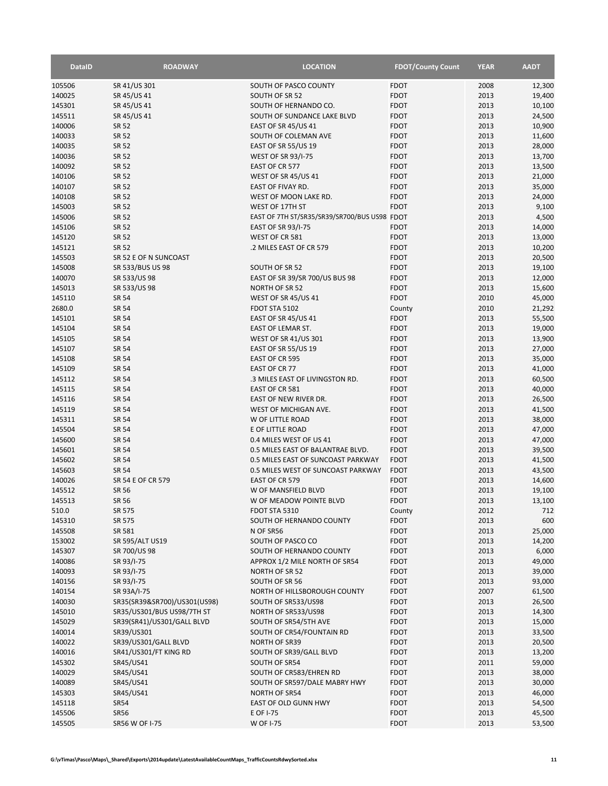| <b>DataID</b>    | <b>ROADWAY</b>                                           | <b>LOCATION</b>                                    | <b>FDOT/County Count</b>   | <b>YEAR</b>  | <b>AADT</b>      |
|------------------|----------------------------------------------------------|----------------------------------------------------|----------------------------|--------------|------------------|
| 105506           | SR 41/US 301                                             | SOUTH OF PASCO COUNTY                              | <b>FDOT</b>                | 2008         | 12,300           |
| 140025           | SR 45/US 41                                              | SOUTH OF SR 52                                     | <b>FDOT</b>                | 2013         | 19,400           |
| 145301           | SR 45/US 41                                              | SOUTH OF HERNANDO CO.                              | <b>FDOT</b>                | 2013         | 10,100           |
| 145511           | SR 45/US 41                                              | SOUTH OF SUNDANCE LAKE BLVD                        | <b>FDOT</b>                | 2013         | 24,500           |
| 140006<br>140033 | <b>SR 52</b><br><b>SR 52</b>                             | <b>EAST OF SR 45/US 41</b><br>SOUTH OF COLEMAN AVE | <b>FDOT</b><br><b>FDOT</b> | 2013<br>2013 | 10,900<br>11,600 |
| 140035           | <b>SR 52</b>                                             | EAST OF SR 55/US 19                                | <b>FDOT</b>                | 2013         | 28,000           |
| 140036           | <b>SR 52</b>                                             | <b>WEST OF SR 93/I-75</b>                          | <b>FDOT</b>                | 2013         | 13,700           |
| 140092           | <b>SR 52</b>                                             | EAST OF CR 577                                     | <b>FDOT</b>                | 2013         | 13,500           |
| 140106           | <b>SR 52</b>                                             | <b>WEST OF SR 45/US 41</b>                         | <b>FDOT</b>                | 2013         | 21,000           |
| 140107           | <b>SR 52</b>                                             | EAST OF FIVAY RD.                                  | <b>FDOT</b>                | 2013         | 35,000           |
| 140108           | <b>SR 52</b>                                             | WEST OF MOON LAKE RD.                              | <b>FDOT</b>                | 2013         | 24,000           |
| 145003           | <b>SR 52</b>                                             | WEST OF 17TH ST                                    | <b>FDOT</b>                | 2013         | 9,100            |
| 145006           | <b>SR 52</b>                                             | EAST OF 7TH ST/SR35/SR39/SR700/BUS US98 FDOT       |                            | 2013         | 4,500            |
| 145106           | <b>SR 52</b>                                             | EAST OF SR 93/I-75                                 | <b>FDOT</b>                | 2013         | 14,000           |
| 145120           | <b>SR 52</b>                                             | WEST OF CR 581                                     | <b>FDOT</b>                | 2013         | 13,000           |
| 145121<br>145503 | <b>SR 52</b><br>SR 52 E OF N SUNCOAST                    | .2 MILES EAST OF CR 579                            | <b>FDOT</b><br><b>FDOT</b> | 2013<br>2013 | 10,200<br>20,500 |
| 145008           | SR 533/BUS US 98                                         | SOUTH OF SR 52                                     | <b>FDOT</b>                | 2013         | 19,100           |
| 140070           | SR 533/US 98                                             | EAST OF SR 39/SR 700/US BUS 98                     | <b>FDOT</b>                | 2013         | 12,000           |
| 145013           | SR 533/US 98                                             | <b>NORTH OF SR 52</b>                              | <b>FDOT</b>                | 2013         | 15,600           |
| 145110           | <b>SR 54</b>                                             | WEST OF SR 45/US 41                                | <b>FDOT</b>                | 2010         | 45,000           |
| 2680.0           | SR 54                                                    | FDOT STA 5102                                      | County                     | 2010         | 21,292           |
| 145101           | SR 54                                                    | <b>EAST OF SR 45/US 41</b>                         | <b>FDOT</b>                | 2013         | 55,500           |
| 145104           | <b>SR 54</b>                                             | <b>EAST OF LEMAR ST.</b>                           | <b>FDOT</b>                | 2013         | 19,000           |
| 145105           | <b>SR 54</b>                                             | WEST OF SR 41/US 301                               | <b>FDOT</b>                | 2013         | 13,900           |
| 145107           | SR 54                                                    | <b>EAST OF SR 55/US 19</b>                         | <b>FDOT</b>                | 2013         | 27,000           |
| 145108           | SR 54                                                    | EAST OF CR 595                                     | <b>FDOT</b>                | 2013         | 35,000           |
| 145109           | <b>SR 54</b>                                             | EAST OF CR 77                                      | <b>FDOT</b>                | 2013         | 41,000           |
| 145112<br>145115 | SR 54<br>SR 54                                           | .3 MILES EAST OF LIVINGSTON RD.<br>EAST OF CR 581  | <b>FDOT</b><br><b>FDOT</b> | 2013<br>2013 | 60,500<br>40,000 |
| 145116           | <b>SR 54</b>                                             | EAST OF NEW RIVER DR.                              | <b>FDOT</b>                | 2013         | 26,500           |
| 145119           | SR 54                                                    | WEST OF MICHIGAN AVE.                              | <b>FDOT</b>                | 2013         | 41,500           |
| 145311           | <b>SR 54</b>                                             | W OF LITTLE ROAD                                   | <b>FDOT</b>                | 2013         | 38,000           |
| 145504           | <b>SR 54</b>                                             | E OF LITTLE ROAD                                   | <b>FDOT</b>                | 2013         | 47,000           |
| 145600           | <b>SR 54</b>                                             | 0.4 MILES WEST OF US 41                            | <b>FDOT</b>                | 2013         | 47,000           |
| 145601           | SR 54                                                    | 0.5 MILES EAST OF BALANTRAE BLVD.                  | <b>FDOT</b>                | 2013         | 39,500           |
| 145602           | SR 54                                                    | 0.5 MILES EAST OF SUNCOAST PARKWAY                 | <b>FDOT</b>                | 2013         | 41,500           |
| 145603           | <b>SR 54</b>                                             | 0.5 MILES WEST OF SUNCOAST PARKWAY                 | <b>FDOT</b>                | 2013         | 43,500           |
| 140026           | SR 54 E OF CR 579                                        | EAST OF CR 579                                     | <b>FDOT</b>                | 2013         | 14,600           |
| 145512<br>145513 | <b>SR 56</b><br><b>SR 56</b>                             | W OF MANSFIELD BLVD<br>W OF MEADOW POINTE BLVD     | <b>FDOT</b><br><b>FDOT</b> | 2013<br>2013 | 19,100           |
| 510.0            | SR 575                                                   | FDOT STA 5310                                      | County                     | 2012         | 13,100<br>712    |
| 145310           | SR 575                                                   | SOUTH OF HERNANDO COUNTY                           | <b>FDOT</b>                | 2013         | 600              |
| 145508           | SR 581                                                   | N OF SR56                                          | <b>FDOT</b>                | 2013         | 25,000           |
| 153002           | SR 595/ALT US19                                          | SOUTH OF PASCO CO                                  | <b>FDOT</b>                | 2013         | 14,200           |
| 145307           | SR 700/US 98                                             | SOUTH OF HERNANDO COUNTY                           | <b>FDOT</b>                | 2013         | 6,000            |
| 140086           | SR 93/I-75                                               | APPROX 1/2 MILE NORTH OF SR54                      | <b>FDOT</b>                | 2013         | 49,000           |
| 140093           | SR 93/I-75                                               | NORTH OF SR 52                                     | <b>FDOT</b>                | 2013         | 39,000           |
| 140156           | SR 93/I-75                                               | SOUTH OF SR 56                                     | <b>FDOT</b>                | 2013         | 93,000           |
| 140154           | SR 93A/I-75                                              | NORTH OF HILLSBOROUGH COUNTY                       | <b>FDOT</b>                | 2007         | 61,500           |
| 140030           | SR35(SR39&SR700)/US301(US98)                             | SOUTH OF SR533/US98                                | <b>FDOT</b>                | 2013         | 26,500           |
| 145010<br>145029 | SR35/US301/BUS US98/7TH ST<br>SR39(SR41)/US301/GALL BLVD | NORTH OF SR533/US98<br>SOUTH OF SR54/5TH AVE       | <b>FDOT</b><br><b>FDOT</b> | 2013<br>2013 | 14,300           |
| 140014           | SR39/US301                                               | SOUTH OF CR54/FOUNTAIN RD                          | <b>FDOT</b>                | 2013         | 15,000<br>33,500 |
| 140022           | SR39/US301/GALL BLVD                                     | <b>NORTH OF SR39</b>                               | <b>FDOT</b>                | 2013         | 20,500           |
| 140016           | SR41/US301/FT KING RD                                    | SOUTH OF SR39/GALL BLVD                            | <b>FDOT</b>                | 2013         | 13,200           |
| 145302           | SR45/US41                                                | SOUTH OF SR54                                      | <b>FDOT</b>                | 2011         | 59,000           |
| 140029           | SR45/US41                                                | SOUTH OF CR583/EHREN RD                            | <b>FDOT</b>                | 2013         | 38,000           |
| 140089           | SR45/US41                                                | SOUTH OF SR597/DALE MABRY HWY                      | <b>FDOT</b>                | 2013         | 30,000           |
| 145303           | SR45/US41                                                | <b>NORTH OF SR54</b>                               | <b>FDOT</b>                | 2013         | 46,000           |
| 145118           | <b>SR54</b>                                              | EAST OF OLD GUNN HWY                               | <b>FDOT</b>                | 2013         | 54,500           |
| 145506           | <b>SR56</b>                                              | E OF I-75                                          | <b>FDOT</b>                | 2013         | 45,500           |
| 145505           | SR56 W OF I-75                                           | <b>W OF I-75</b>                                   | <b>FDOT</b>                | 2013         | 53,500           |